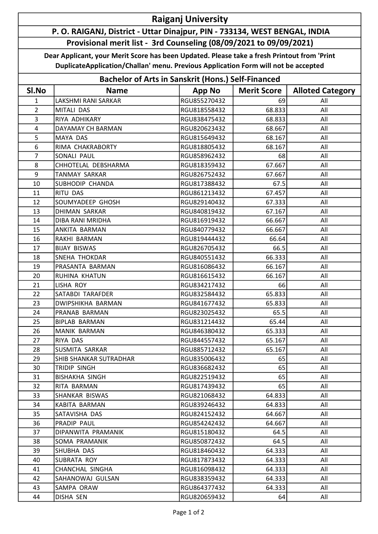## Raiganj University

## P. O. RAIGANJ, District - Uttar Dinajpur, PIN - 733134, WEST BENGAL, INDIA Provisional merit list - 3rd Counseling (08/09/2021 to 09/09/2021)

Dear Applicant, your Merit Score has been Updated. Please take a fresh Printout from 'Print DuplicateApplication/Challan' menu. Previous Application Form will not be accepted

| <b>Bachelor of Arts in Sanskrit (Hons.) Self-Financed</b> |                        |               |                    |                         |  |  |  |
|-----------------------------------------------------------|------------------------|---------------|--------------------|-------------------------|--|--|--|
| SI.No                                                     | <b>Name</b>            | <b>App No</b> | <b>Merit Score</b> | <b>Alloted Category</b> |  |  |  |
| $\mathbf{1}$                                              | LAKSHMI RANI SARKAR    | RGU855270432  | 69                 | All                     |  |  |  |
| $\overline{2}$                                            | MITALI DAS             | RGU818558432  | 68.833             | All                     |  |  |  |
| 3                                                         | RIYA ADHIKARY          | RGU838475432  | 68.833             | All                     |  |  |  |
| 4                                                         | DAYAMAY CH BARMAN      | RGU820623432  | 68.667             | All                     |  |  |  |
| 5                                                         | MAYA DAS               | RGU815649432  | 68.167             | All                     |  |  |  |
| 6                                                         | RIMA CHAKRABORTY       | RGU818805432  | 68.167             | All                     |  |  |  |
| $\overline{7}$                                            | SONALI PAUL            | RGU858962432  | 68                 | All                     |  |  |  |
| 8                                                         | CHHOTELAL DEBSHARMA    | RGU818359432  | 67.667             | All                     |  |  |  |
| 9                                                         | <b>TANMAY SARKAR</b>   | RGU826752432  | 67.667             | All                     |  |  |  |
| 10                                                        | SUBHODIP CHANDA        | RGU817388432  | 67.5               | All                     |  |  |  |
| 11                                                        | RITU DAS               | RGU861213432  | 67.457             | All                     |  |  |  |
| 12                                                        | SOUMYADEEP GHOSH       | RGU829140432  | 67.333             | All                     |  |  |  |
| 13                                                        | <b>DHIMAN SARKAR</b>   | RGU840819432  | 67.167             | All                     |  |  |  |
| 14                                                        | DIBA RANI MRIDHA       | RGU816919432  | 66.667             | All                     |  |  |  |
| 15                                                        | ANKITA BARMAN          | RGU840779432  | 66.667             | All                     |  |  |  |
| 16                                                        | RAKHI BARMAN           | RGU819444432  | 66.64              | All                     |  |  |  |
| 17                                                        | <b>BIJAY BISWAS</b>    | RGU826705432  | 66.5               | All                     |  |  |  |
| 18                                                        | SNEHA THOKDAR          | RGU840551432  | 66.333             | All                     |  |  |  |
| 19                                                        | PRASANTA BARMAN        | RGU816086432  | 66.167             | All                     |  |  |  |
| 20                                                        | RUHINA KHATUN          | RGU816615432  | 66.167             | All                     |  |  |  |
| 21                                                        | LISHA ROY              | RGU834217432  | 66                 | All                     |  |  |  |
| 22                                                        | SATABDI TARAFDER       | RGU832584432  | 65.833             | All                     |  |  |  |
| 23                                                        | DWIPSHIKHA BARMAN      | RGU841677432  | 65.833             | All                     |  |  |  |
| 24                                                        | PRANAB BARMAN          | RGU823025432  | 65.5               | All                     |  |  |  |
| 25                                                        | <b>BIPLAB BARMAN</b>   | RGU831214432  | 65.44              | All                     |  |  |  |
| 26                                                        | <b>MANIK BARMAN</b>    | RGU846380432  | 65.333             | All                     |  |  |  |
| 27                                                        | RIYA DAS               | RGU844557432  | 65.167             | All                     |  |  |  |
| 28                                                        | SUSMITA SARKAR         | RGU885712432  | 65.167             | All                     |  |  |  |
| 29                                                        | SHIB SHANKAR SUTRADHAR | RGU835006432  | 65                 | All                     |  |  |  |
| 30                                                        | TRIDIP SINGH           | RGU836682432  | 65                 | All                     |  |  |  |
| 31                                                        | <b>BISHAKHA SINGH</b>  | RGU822519432  | 65                 | All                     |  |  |  |
| 32                                                        | RITA BARMAN            | RGU817439432  | 65                 | All                     |  |  |  |
| 33                                                        | SHANKAR BISWAS         | RGU821068432  | 64.833             | All                     |  |  |  |
| 34                                                        | KABITA BARMAN          | RGU839246432  | 64.833             | All                     |  |  |  |
| 35                                                        | SATAVISHA DAS          | RGU824152432  | 64.667             | All                     |  |  |  |
| 36                                                        | PRADIP PAUL            | RGU854242432  | 64.667             | All                     |  |  |  |
| 37                                                        | DIPANWITA PRAMANIK     | RGU815180432  | 64.5               | All                     |  |  |  |
| 38                                                        | SOMA PRAMANIK          | RGU850872432  | 64.5               | All                     |  |  |  |
| 39                                                        | SHUBHA DAS             | RGU818460432  | 64.333             | All                     |  |  |  |
| 40                                                        | SUBRATA ROY            | RGU817873432  | 64.333             | All                     |  |  |  |
| 41                                                        | CHANCHAL SINGHA        | RGU816098432  | 64.333             | All                     |  |  |  |
| 42                                                        | SAHANOWAJ GULSAN       | RGU838359432  | 64.333             | All                     |  |  |  |
| 43                                                        | SAMPA ORAW             | RGU864377432  | 64.333             | All                     |  |  |  |
| 44                                                        | DISHA SEN              | RGU820659432  | 64                 | All                     |  |  |  |